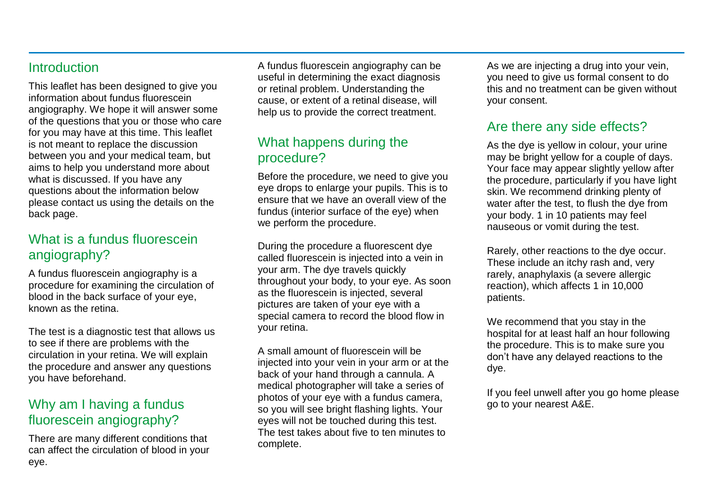#### **Introduction**

This leaflet has been designed to give you information about fundus fluorescein angiography. We hope it will answer some of the questions that you or those who care for you may have at this time. This leaflet is not meant to replace the discussion between you and your medical team, but aims to help you understand more about what is discussed. If you have any questions about the information below please contact us using the details on the back page.

#### What is a fundus fluorescein angiography?

A fundus fluorescein angiography is a procedure for examining the circulation of blood in the back surface of your eye, known as the retina.

The test is a diagnostic test that allows us to see if there are problems with the circulation in your retina. We will explain the procedure and answer any questions you have beforehand.

#### Why am I having a fundus fluorescein angiography?

There are many different conditions that can affect the circulation of blood in your eye.

A fundus fluorescein angiography can be useful in determining the exact diagnosis or retinal problem. Understanding the cause, or extent of a retinal disease, will help us to provide the correct treatment.

#### What happens during the procedure?

Before the procedure, we need to give you eye drops to enlarge your pupils. This is to ensure that we have an overall view of the fundus (interior surface of the eye) when we perform the procedure.

During the procedure a fluorescent dye called fluorescein is injected into a vein in your arm. The dye travels quickly throughout your body, to your eye. As soon as the fluorescein is injected, several pictures are taken of your eye with a special camera to record the blood flow in your retina.

A small amount of fluorescein will be injected into your vein in your arm or at the back of your hand through a cannula. A medical photographer will take a series of photos of your eye with a fundus camera, so you will see bright flashing lights. Your eyes will not be touched during this test. The test takes about five to ten minutes to complete.

As we are injecting a drug into your vein, you need to give us formal consent to do this and no treatment can be given without your consent.

#### Are there any side effects?

As the dye is yellow in colour, your urine may be bright yellow for a couple of days. Your face may appear slightly yellow after the procedure, particularly if you have light skin. We recommend drinking plenty of water after the test, to flush the dye from your body. 1 in 10 patients may feel nauseous or vomit during the test.

Rarely, other reactions to the dye occur. These include an itchy rash and, very rarely, anaphylaxis (a severe allergic reaction), which affects 1 in 10,000 patients.

We recommend that you stay in the hospital for at least half an hour following the procedure. This is to make sure you don't have any delayed reactions to the dye.

If you feel unwell after you go home please go to your nearest A&E.